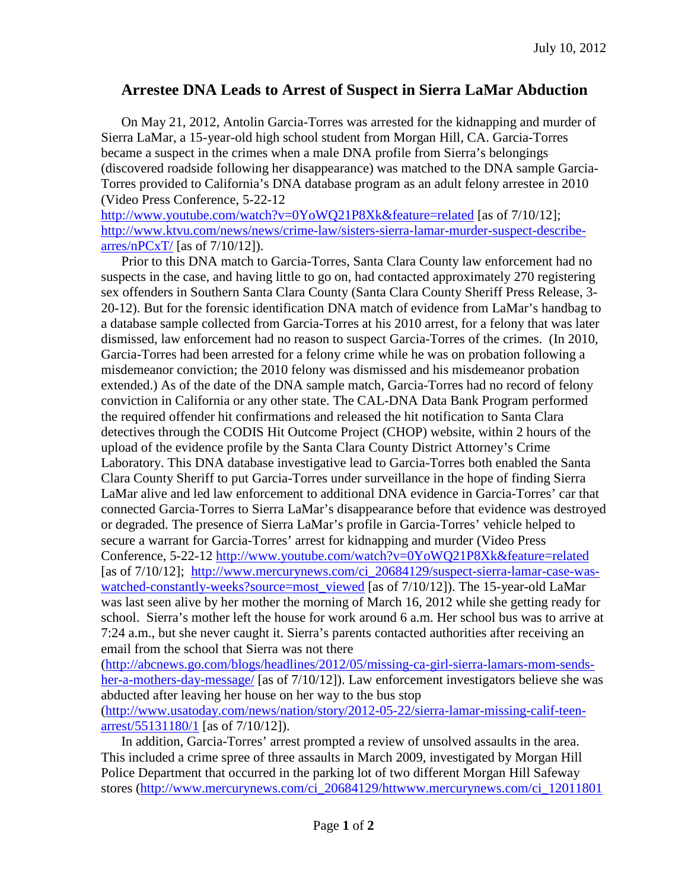## **Arrestee DNA Leads to Arrest of Suspect in Sierra LaMar Abduction**

On May 21, 2012, Antolin Garcia-Torres was arrested for the kidnapping and murder of Sierra LaMar, a 15-year-old high school student from Morgan Hill, CA. Garcia-Torres became a suspect in the crimes when a male DNA profile from Sierra's belongings (discovered roadside following her disappearance) was matched to the DNA sample Garcia-Torres provided to California's DNA database program as an adult felony arrestee in 2010 (Video Press Conference, 5-22-12

<http://www.youtube.com/watch?v=0YoWQ21P8Xk&feature=related> [as of 7/10/12]; [http://www.ktvu.com/news/news/crime-law/sisters-sierra-lamar-murder-suspect-describe](http://www.ktvu.com/news/news/crime-law/sisters-sierra-lamar-murder-suspect-describe-arres/nPCxT/) $arres/nPCxT/[as of 7/10/12]$  $arres/nPCxT/[as of 7/10/12]$ .

Prior to this DNA match to Garcia-Torres, Santa Clara County law enforcement had no suspects in the case, and having little to go on, had contacted approximately 270 registering sex offenders in Southern Santa Clara County (Santa Clara County Sheriff Press Release, 3- 20-12). But for the forensic identification DNA match of evidence from LaMar's handbag to a database sample collected from Garcia-Torres at his 2010 arrest, for a felony that was later dismissed, law enforcement had no reason to suspect Garcia-Torres of the crimes. (In 2010, Garcia-Torres had been arrested for a felony crime while he was on probation following a misdemeanor conviction; the 2010 felony was dismissed and his misdemeanor probation extended.) As of the date of the DNA sample match, Garcia-Torres had no record of felony conviction in California or any other state. The CAL-DNA Data Bank Program performed the required offender hit confirmations and released the hit notification to Santa Clara detectives through the CODIS Hit Outcome Project (CHOP) website, within 2 hours of the upload of the evidence profile by the Santa Clara County District Attorney's Crime Laboratory. This DNA database investigative lead to Garcia-Torres both enabled the Santa Clara County Sheriff to put Garcia-Torres under surveillance in the hope of finding Sierra LaMar alive and led law enforcement to additional DNA evidence in Garcia-Torres' car that connected Garcia-Torres to Sierra LaMar's disappearance before that evidence was destroyed or degraded. The presence of Sierra LaMar's profile in Garcia-Torres' vehicle helped to secure a warrant for Garcia-Torres' arrest for kidnapping and murder (Video Press Conference, 5-22-12<http://www.youtube.com/watch?v=0YoWQ21P8Xk&feature=related> [as of  $7/10/12$ ]; http://www.mercurynews.com/ci 20684129/suspect-sierra-lamar-case-was[watched-constantly-weeks?source=most\\_viewed](http://www.mercurynews.com/ci_20684129/suspect-sierra-lamar-case-was-watched-constantly-weeks?source=most_viewed) [as of 7/10/12]). The 15-year-old LaMar was last seen alive by her mother the morning of March 16, 2012 while she getting ready for school. Sierra's mother left the house for work around 6 a.m. Her school bus was to arrive at 7:24 a.m., but she never caught it. Sierra's parents contacted authorities after receiving an email from the school that Sierra was not there

[\(http://abcnews.go.com/blogs/headlines/2012/05/missing-ca-girl-sierra-lamars-mom-sends](http://abcnews.go.com/blogs/headlines/2012/05/missing-ca-girl-sierra-lamars-mom-sends-her-a-mothers-day-message/)[her-a-mothers-day-message/](http://abcnews.go.com/blogs/headlines/2012/05/missing-ca-girl-sierra-lamars-mom-sends-her-a-mothers-day-message/) [as of 7/10/12]). Law enforcement investigators believe she was abducted after leaving her house on her way to the bus stop [\(http://www.usatoday.com/news/nation/story/2012-05-22/sierra-lamar-missing-calif-teen](http://www.usatoday.com/news/nation/story/2012-05-22/sierra-lamar-missing-calif-teen-arrest/55131180/1)[arrest/55131180/1](http://www.usatoday.com/news/nation/story/2012-05-22/sierra-lamar-missing-calif-teen-arrest/55131180/1) [as of 7/10/12]).

In addition, Garcia-Torres' arrest prompted a review of unsolved assaults in the area. This included a crime spree of three assaults in March 2009, investigated by Morgan Hill Police Department that occurred in the parking lot of two different Morgan Hill Safeway stores [\(http://www.mercurynews.com/ci\\_20684129/httwww.mercurynews.com/ci\\_12011801](http://www.mercurynews.com/ci_20684129/httwww.mercurynews.com/ci_12011801)